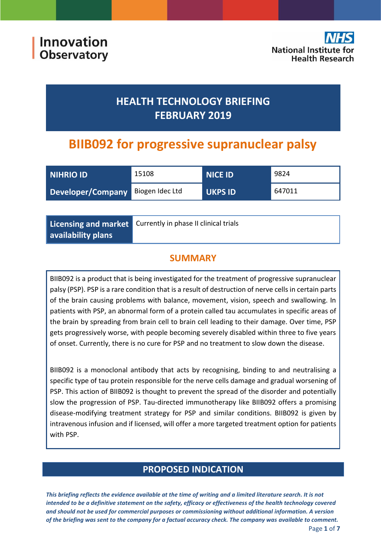# **HEALTH TECHNOLOGY BRIEFING FEBRUARY 2019**

# **BIIB092 for progressive supranuclear palsy**

| <b>NIHRIO ID</b>                  | 15108 | <b>NICE ID</b> | 9824   |
|-----------------------------------|-------|----------------|--------|
| Developer/Company Biogen Idec Ltd |       | <b>UKPS ID</b> | 647011 |

|                           | Licensing and market Currently in phase II clinical trials |
|---------------------------|------------------------------------------------------------|
| $\mid$ availability plans |                                                            |

## **SUMMARY**

BIIB092 is a product that is being investigated for the treatment of progressive supranuclear palsy (PSP). PSP is a rare condition that is a result of destruction of nerve cells in certain parts of the brain causing problems with balance, movement, vision, speech and swallowing. In patients with PSP, an abnormal form of a protein called tau accumulates in specific areas of the brain by spreading from brain cell to brain cell leading to their damage. Over time, PSP gets progressively worse, with people becoming severely disabled within three to five years of onset. Currently, there is no cure for PSP and no treatment to slow down the disease.

BIIB092 is a monoclonal antibody that acts by recognising, binding to and neutralising a specific type of tau protein responsible for the nerve cells damage and gradual worsening of PSP. This action of BIIB092 is thought to prevent the spread of the disorder and potentially slow the progression of PSP. Tau-directed immunotherapy like BIIB092 offers a promising disease-modifying treatment strategy for PSP and similar conditions. BIIB092 is given by intravenous infusion and if licensed, will offer a more targeted treatment option for patients with PSP.

## **PROPOSED INDICATION**

*This briefing reflects the evidence available at the time of writing and a limited literature search. It is not intended to be a definitive statement on the safety, efficacy or effectiveness of the health technology covered and should not be used for commercial purposes or commissioning without additional information. A version of the briefing was sent to the company for a factual accuracy check. The company was available to comment.*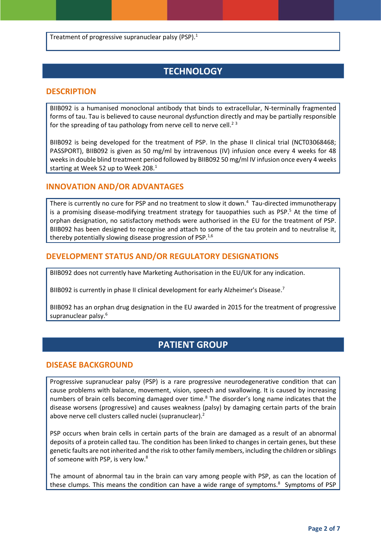Treatment of progressive supranuclear palsy (PSP).<sup>1</sup>

## **TECHNOLOGY**

#### **DESCRIPTION**

BIIB092 is a humanised monoclonal antibody that binds to extracellular, N-terminally fragmented forms of tau. Tau is believed to cause neuronal dysfunction directly and may be partially responsible for the spreading of tau pathology from nerve cell to nerve cell.<sup>23</sup>

BIIB092 is being developed for the treatment of PSP. In the phase II clinical trial (NCT03068468; PASSPORT), BIIB092 is given as 50 mg/ml by intravenous (IV) infusion once every 4 weeks for 48 weeks in double blind treatment period followed by BIIB092 50 mg/ml IV infusion once every 4 weeks starting at Week 52 up to Week 208.<sup>1</sup>

#### **INNOVATION AND/OR ADVANTAGES**

There is currently no cure for PSP and no treatment to slow it down.<sup>4</sup> Tau-directed immunotherapy is a promising disease-modifying treatment strategy for tauopathies such as PSP.<sup>5</sup> At the time of orphan designation, no satisfactory methods were authorised in the EU for the treatment of PSP. BIIB092 has been designed to recognise and attach to some of the tau protein and to neutralise it, thereby potentially slowing disease progression of PSP.<sup>1,6</sup>

#### **DEVELOPMENT STATUS AND/OR REGULATORY DESIGNATIONS**

BIIB092 does not currently have Marketing Authorisation in the EU/UK for any indication.

BIIB092 is currently in phase II clinical development for early Alzheimer's Disease.<sup>7</sup>

BIIB092 has an orphan drug designation in the EU awarded in 2015 for the treatment of progressive supranuclear palsy.<sup>6</sup>

## **PATIENT GROUP**

#### **DISEASE BACKGROUND**

Progressive supranuclear palsy (PSP) is a rare progressive neurodegenerative condition that can cause problems with balance, movement, vision, speech and swallowing. It is caused by increasing numbers of brain cells becoming damaged over time.<sup>8</sup> The disorder's long name indicates that the disease worsens (progressive) and causes weakness (palsy) by damaging certain parts of the brain above nerve cell clusters called nuclei (supranuclear).<sup>2</sup>

PSP occurs when brain cells in certain parts of the brain are damaged as a result of an abnormal deposits of a protein called tau. The condition has been linked to changes in certain genes, but these genetic faults are not inherited and the risk to other family members, including the children or siblings of someone with PSP, is very low.<sup>8</sup>

The amount of abnormal tau in the brain can vary among people with PSP, as can the location of these clumps. This means the condition can have a wide range of symptoms.<sup>8</sup> Symptoms of PSP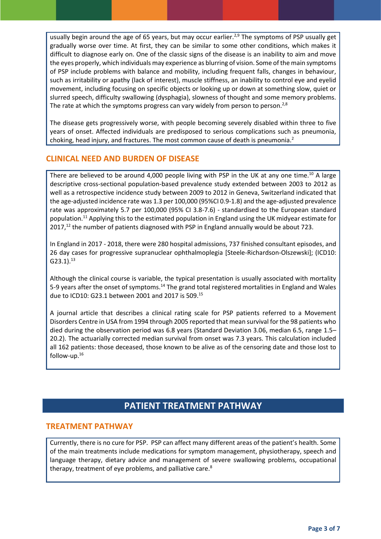usually begin around the age of 65 years, but may occur earlier.<sup>2,9</sup> The symptoms of PSP usually get gradually worse over time. At first, they can be similar to some other conditions, which makes it difficult to diagnose early on. One of the classic signs of the disease is an inability to aim and move the eyes properly, which individuals may experience as blurring of vision. Some of the main symptoms of PSP include problems with balance and mobility, including frequent falls, changes in behaviour, such as irritability or apathy (lack of interest), muscle stiffness, an inability to control eye and eyelid movement, including focusing on specific objects or looking up or down at something slow, quiet or slurred speech, difficulty swallowing (dysphagia), slowness of thought and some memory problems. The rate at which the symptoms progress can vary widely from person to person.<sup>2,8</sup>

The disease gets progressively worse, with people becoming severely disabled within three to five years of onset. Affected individuals are predisposed to serious complications such as pneumonia, choking, head injury, and fractures. The most common cause of death is pneumonia.<sup>2</sup>

#### **CLINICAL NEED AND BURDEN OF DISEASE**

There are believed to be around 4,000 people living with PSP in the UK at any one time.<sup>10</sup> A large descriptive cross-sectional population-based prevalence study extended between 2003 to 2012 as well as a retrospective incidence study between 2009 to 2012 in Geneva, Switzerland indicated that the age-adjusted incidence rate was 1.3 per 100,000 (95%CI 0.9-1.8) and the age-adjusted prevalence rate was approximately 5.7 per 100,000 (95% CI 3.8-7.6) - standardised to the European standard population. <sup>11</sup> Applying this to the estimated population in England using the UK midyear estimate for  $2017<sub>12</sub>$  the number of patients diagnosed with PSP in England annually would be about 723.

In England in 2017 - 2018, there were 280 hospital admissions, 737 finished consultant episodes, and 26 day cases for progressive supranuclear ophthalmoplegia [Steele-Richardson-Olszewski]; (ICD10:  $G23.1$ ).<sup>13</sup>

Although the clinical course is variable, the typical presentation is usually associated with mortality 5-9 years after the onset of symptoms.<sup>14</sup> The grand total registered mortalities in England and Wales due to ICD10: G23.1 between 2001 and 2017 is 509.<sup>15</sup>

A journal article that describes a clinical rating scale for PSP patients referred to a Movement Disorders Centre in USA from 1994 through 2005 reported that mean survival for the 98 patients who died during the observation period was 6.8 years (Standard Deviation 3.06, median 6.5, range 1.5– 20.2). The actuarially corrected median survival from onset was 7.3 years. This calculation included all 162 patients: those deceased, those known to be alive as of the censoring date and those lost to follow-up. $^{16}$ 

## **PATIENT TREATMENT PATHWAY**

#### **TREATMENT PATHWAY**

Currently, there is no cure for PSP. PSP can affect many different areas of the patient's health. Some of the main treatments include medications for symptom management, physiotherapy, speech and language therapy, dietary advice and management of severe swallowing problems, occupational therapy, treatment of eye problems, and palliative care.<sup>8</sup>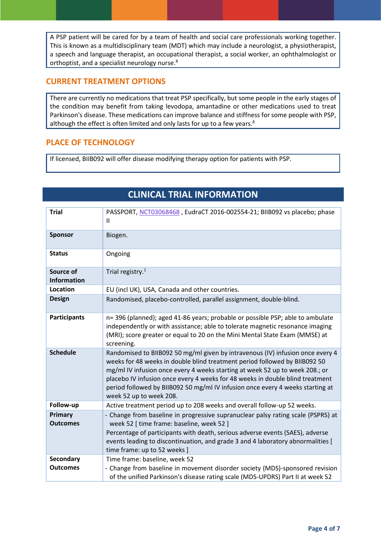A PSP patient will be cared for by a team of health and social care professionals working together. This is known as a multidisciplinary team (MDT) which may include a neurologist, a physiotherapist, a speech and language therapist, an occupational therapist, a social worker, an ophthalmologist or orthoptist, and a specialist neurology nurse.<sup>8</sup>

#### **CURRENT TREATMENT OPTIONS**

There are currently no medications that treat PSP specifically, but some people in the early stages of the condition may benefit from taking levodopa, amantadine or other medications used to treat Parkinson's disease. These medications can improve balance and stiffness for some people with PSP, although the effect is often limited and only lasts for up to a few years.<sup>8</sup>

#### **PLACE OF TECHNOLOGY**

If licensed, BIIB092 will offer disease modifying therapy option for patients with PSP.

## **CLINICAL TRIAL INFORMATION**

| <b>Trial</b>                        | PASSPORT, NCT03068468, EudraCT 2016-002554-21; BIIB092 vs placebo; phase<br>Ш                                                                                                                                                                                                                                                                                                                                                              |
|-------------------------------------|--------------------------------------------------------------------------------------------------------------------------------------------------------------------------------------------------------------------------------------------------------------------------------------------------------------------------------------------------------------------------------------------------------------------------------------------|
| <b>Sponsor</b>                      | Biogen.                                                                                                                                                                                                                                                                                                                                                                                                                                    |
| <b>Status</b>                       | Ongoing                                                                                                                                                                                                                                                                                                                                                                                                                                    |
| Source of<br><b>Information</b>     | Trial registry. $1$                                                                                                                                                                                                                                                                                                                                                                                                                        |
| <b>Location</b>                     | EU (incl UK), USA, Canada and other countries.                                                                                                                                                                                                                                                                                                                                                                                             |
| <b>Design</b>                       | Randomised, placebo-controlled, parallel assignment, double-blind.                                                                                                                                                                                                                                                                                                                                                                         |
| <b>Participants</b>                 | n= 396 (planned); aged 41-86 years; probable or possible PSP; able to ambulate<br>independently or with assistance; able to tolerate magnetic resonance imaging<br>(MRI); score greater or equal to 20 on the Mini Mental State Exam (MMSE) at<br>screening.                                                                                                                                                                               |
| <b>Schedule</b>                     | Randomised to BIIB092 50 mg/ml given by intravenous (IV) infusion once every 4<br>weeks for 48 weeks in double blind treatment period followed by BIIB092 50<br>mg/ml IV infusion once every 4 weeks starting at week 52 up to week 208.; or<br>placebo IV infusion once every 4 weeks for 48 weeks in double blind treatment<br>period followed by BIIB092 50 mg/ml IV infusion once every 4 weeks starting at<br>week 52 up to week 208. |
| Follow-up                           | Active treatment period up to 208 weeks and overall follow-up 52 weeks.                                                                                                                                                                                                                                                                                                                                                                    |
| <b>Primary</b><br><b>Outcomes</b>   | - Change from baseline in progressive supranuclear palsy rating scale (PSPRS) at<br>week 52 [ time frame: baseline, week 52 ]<br>Percentage of participants with death, serious adverse events (SAES), adverse<br>events leading to discontinuation, and grade 3 and 4 laboratory abnormalities [<br>time frame: up to 52 weeks ]                                                                                                          |
| <b>Secondary</b><br><b>Outcomes</b> | Time frame: baseline, week 52<br>- Change from baseline in movement disorder society (MDS)-sponsored revision<br>of the unified Parkinson's disease rating scale (MDS-UPDRS) Part II at week 52                                                                                                                                                                                                                                            |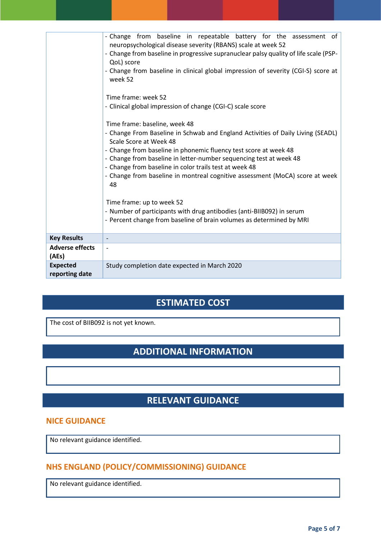|                                   | - Change from baseline in repeatable battery for the assessment of<br>neuropsychological disease severity (RBANS) scale at week 52<br>- Change from baseline in progressive supranuclear palsy quality of life scale (PSP-<br>QoL) score<br>- Change from baseline in clinical global impression of severity (CGI-S) score at<br>week 52<br>Time frame: week 52<br>- Clinical global impression of change (CGI-C) scale score<br>Time frame: baseline, week 48<br>- Change From Baseline in Schwab and England Activities of Daily Living (SEADL)<br>Scale Score at Week 48<br>- Change from baseline in phonemic fluency test score at week 48<br>- Change from baseline in letter-number sequencing test at week 48<br>- Change from baseline in color trails test at week 48<br>- Change from baseline in montreal cognitive assessment (MoCA) score at week<br>48<br>Time frame: up to week 52<br>- Number of participants with drug antibodies (anti-BIIB092) in serum<br>- Percent change from baseline of brain volumes as determined by MRI |
|-----------------------------------|-----------------------------------------------------------------------------------------------------------------------------------------------------------------------------------------------------------------------------------------------------------------------------------------------------------------------------------------------------------------------------------------------------------------------------------------------------------------------------------------------------------------------------------------------------------------------------------------------------------------------------------------------------------------------------------------------------------------------------------------------------------------------------------------------------------------------------------------------------------------------------------------------------------------------------------------------------------------------------------------------------------------------------------------------------|
| <b>Key Results</b>                |                                                                                                                                                                                                                                                                                                                                                                                                                                                                                                                                                                                                                                                                                                                                                                                                                                                                                                                                                                                                                                                     |
| <b>Adverse effects</b><br>(AEs)   |                                                                                                                                                                                                                                                                                                                                                                                                                                                                                                                                                                                                                                                                                                                                                                                                                                                                                                                                                                                                                                                     |
| <b>Expected</b><br>reporting date | Study completion date expected in March 2020                                                                                                                                                                                                                                                                                                                                                                                                                                                                                                                                                                                                                                                                                                                                                                                                                                                                                                                                                                                                        |

## **ESTIMATED COST**

The cost of BIIB092 is not yet known.

## **ADDITIONAL INFORMATION**

## **RELEVANT GUIDANCE**

#### **NICE GUIDANCE**

No relevant guidance identified.

## **NHS ENGLAND (POLICY/COMMISSIONING) GUIDANCE**

No relevant guidance identified.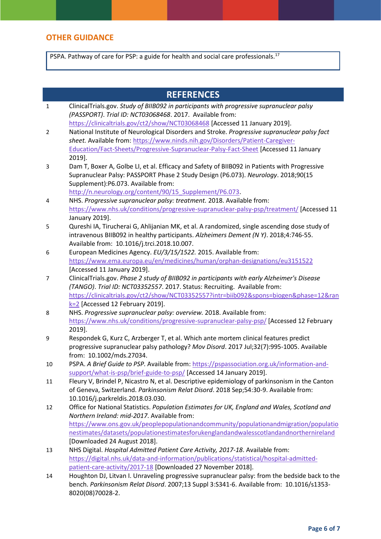### **OTHER GUIDANCE**

PSPA. Pathway of care for PSP: a guide for health and social care professionals.<sup>17</sup>

|             | <b>REFERENCES</b>                                                                                                            |
|-------------|------------------------------------------------------------------------------------------------------------------------------|
| $\mathbf 1$ | ClinicalTrials.gov. Study of BIIB092 in participants with progressive supranuclear palsy                                     |
|             | (PASSPORT). Trial ID: NCT03068468. 2017. Available from:                                                                     |
|             | https://clinicaltrials.gov/ct2/show/NCT03068468 [Accessed 11 January 2019].                                                  |
| 2           | National Institute of Neurological Disorders and Stroke. Progressive supranuclear palsy fact                                 |
|             | sheet. Available from: https://www.ninds.nih.gov/Disorders/Patient-Caregiver-                                                |
|             | Education/Fact-Sheets/Progressive-Supranuclear-Palsy-Fact-Sheet [Accessed 11 January                                         |
|             | 2019].                                                                                                                       |
| 3           | Dam T, Boxer A, Golbe LI, et al. Efficacy and Safety of BIIB092 in Patients with Progressive                                 |
|             | Supranuclear Palsy: PASSPORT Phase 2 Study Design (P6.073). Neurology. 2018;90(15                                            |
|             | Supplement):P6.073. Available from:                                                                                          |
|             | http://n.neurology.org/content/90/15 Supplement/P6.073.                                                                      |
| 4           | NHS. Progressive supranuclear palsy: treatment. 2018. Available from:                                                        |
|             | https://www.nhs.uk/conditions/progressive-supranuclear-palsy-psp/treatment/ [Accessed 11                                     |
|             | January 2019].                                                                                                               |
| 5           | Qureshi IA, Tirucherai G, Ahlijanian MK, et al. A randomized, single ascending dose study of                                 |
|             | intravenous BIIB092 in healthy participants. Alzheimers Dement (N Y). 2018;4:746-55.                                         |
|             | Available from: 10.1016/j.trci.2018.10.007.                                                                                  |
| 6           | European Medicines Agency. EU/3/15/1522. 2015. Available from:                                                               |
|             | https://www.ema.europa.eu/en/medicines/human/orphan-designations/eu3151522                                                   |
|             | [Accessed 11 January 2019].                                                                                                  |
| 7           | ClinicalTrials.gov. Phase 2 study of BIIB092 in participants with early Alzheimer's Disease                                  |
|             | (TANGO). Trial ID: NCT03352557. 2017. Status: Recruiting. Available from:                                                    |
|             | https://clinicaltrials.gov/ct2/show/NCT03352557?intr=biib092&spons=biogen&phase=12&ran<br>$k=2$ [Accessed 12 February 2019]. |
| 8           | NHS. Progressive supranuclear palsy: overview. 2018. Available from:                                                         |
|             | https://www.nhs.uk/conditions/progressive-supranuclear-palsy-psp/ [Accessed 12 February                                      |
|             | 2019].                                                                                                                       |
| 9           | Respondek G, Kurz C, Arzberger T, et al. Which ante mortem clinical features predict                                         |
|             | progressive supranuclear palsy pathology? Mov Disord. 2017 Jul;32(7):995-1005. Available                                     |
|             | from: 10.1002/mds.27034.                                                                                                     |
| 10          | PSPA. A Brief Guide to PSP. Available from: https://pspassociation.org.uk/information-and-                                   |
|             | support/what-is-psp/brief-guide-to-psp/ [Accessed 14 January 2019].                                                          |
| 11          | Fleury V, Brindel P, Nicastro N, et al. Descriptive epidemiology of parkinsonism in the Canton                               |
|             | of Geneva, Switzerland. Parkinsonism Relat Disord. 2018 Sep;54:30-9. Available from:                                         |
|             | 10.1016/j.parkreldis.2018.03.030.                                                                                            |
| 12          | Office for National Statistics. Population Estimates for UK, England and Wales, Scotland and                                 |
|             | Northern Ireland: mid-2017. Available from:                                                                                  |
|             | https://www.ons.gov.uk/peoplepopulationandcommunity/populationandmigration/populatio                                         |
|             | nestimates/datasets/populationestimatesforukenglandandwalesscotlandandnorthernireland                                        |
|             | [Downloaded 24 August 2018].                                                                                                 |
| 13          | NHS Digital. Hospital Admitted Patient Care Activity, 2017-18. Available from:                                               |
|             | https://digital.nhs.uk/data-and-information/publications/statistical/hospital-admitted-                                      |
|             | patient-care-activity/2017-18 [Downloaded 27 November 2018].                                                                 |
| 14          | Houghton DJ, Litvan I. Unraveling progressive supranuclear palsy: from the bedside back to the                               |
|             | bench. Parkinsonism Relat Disord. 2007;13 Suppl 3:S341-6. Available from: 10.1016/s1353-                                     |
|             | 8020(08)70028-2.                                                                                                             |